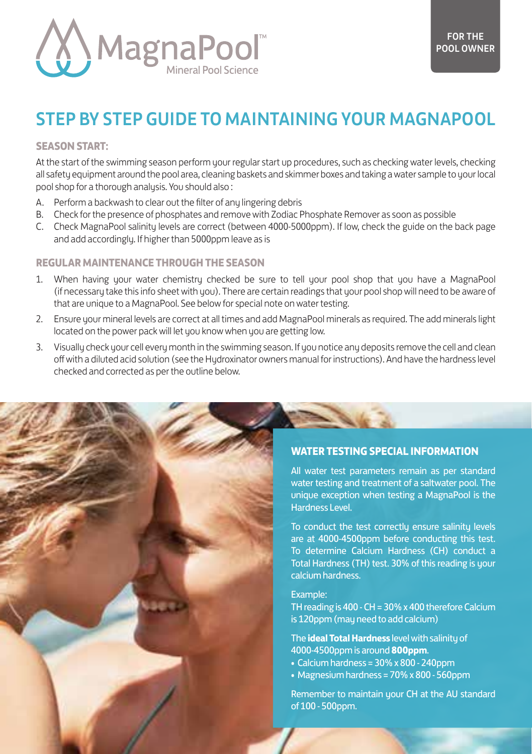

# STEP BY STEP GUIDE TO MAINTAINING YOUR MAGNAPOOL

#### **SEASON START:**

At the start of the swimming season perform your regular start up procedures, such as checking water levels, checking all safety equipment around the pool area, cleaning baskets and skimmer boxes and taking a water sample to your local pool shop for a thorough analysis. You should also :

- A. Perform a backwash to clear out the filter of any lingering debris
- B. Check for the presence of phosphates and remove with Zodiac Phosphate Remover as soon as possible
- C. Check MagnaPool salinity levels are correct (between 4000-5000ppm). If low, check the guide on the back page and add accordingly. If higher than 5000ppm leave as is

## **REGULAR MAINTENANCE THROUGH THE SEASON**

- 1. When having your water chemistry checked be sure to tell your pool shop that you have a MagnaPool (if necessary take this info sheet with you). There are certain readings that your pool shop will need to be aware of that are unique to a MagnaPool. See below for special note on water testing.
- 2. Ensure your mineral levels are correct at all times and add MagnaPool minerals as required. The add minerals light located on the power pack will let you know when you are getting low.
- 3. Visually check your cell every month in the swimming season. If you notice any deposits remove the cell and clean off with a diluted acid solution (see the Hydroxinator owners manual for instructions). And have the hardness level checked and corrected as per the outline below.



#### **WATER TESTING SPECIAL INFORMATION**

All water test parameters remain as per standard water testing and treatment of a saltwater pool. The unique exception when testing a MagnaPool is the Hardness Level.

To conduct the test correctly ensure salinity levels are at 4000-4500ppm before conducting this test. To determine Calcium Hardness (CH) conduct a Total Hardness (TH) test. 30% of this reading is your calcium hardness.

### Example:

TH reading is 400 - CH = 30% x 400 therefore Calcium is 120ppm (may need to add calcium)

The **ideal Total Hardness** level with salinity of 4000-4500ppm is around **800ppm**.

- $\bullet$  Calcium hardness = 30% x 800 240ppm
- Magnesium hardness = 70% x 800 560ppm

Remember to maintain your CH at the AU standard of 100 - 500ppm.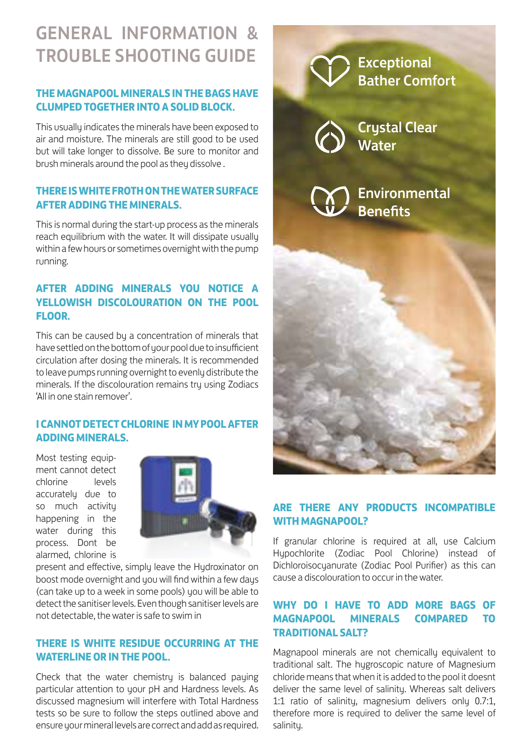# GENERAL INFORMATION & TROUBLE SHOOTING GUIDE

## **THE MAGNAPOOL MINERALS IN THE BAGS HAVE CLUMPED TOGETHER INTO A SOLID BLOCK.**

This usually indicates the minerals have been exposed to air and moisture. The minerals are still good to be used but will take longer to dissolve. Be sure to monitor and brush minerals around the pool as they dissolve .

## **THERE IS WHITE FROTH ON THE WATER SURFACE AFTER ADDING THE MINERALS.**

This is normal during the start-up process as the minerals reach equilibrium with the water. It will dissipate usually within a few hours or sometimes overnight with the pump running.

## **AFTER ADDING MINERALS YOU NOTICE A YELLOWISH DISCOLOURATION ON THE POOL FLOOR.**

This can be caused by a concentration of minerals that have settled on the bottom of your pool due to insufficient circulation after dosing the minerals. It is recommended to leave pumps running overnight to evenly distribute the minerals. If the discolouration remains tru using Zodiacs 'All in one stain remover'.

## **I CANNOT DETECT CHLORINE IN MY POOL AFTER ADDING MINERALS.**

Most testing equipment cannot detect chlorine levels accurately due to so much activity happening in the water during this process. Dont be alarmed, chlorine is



present and effective, simply leave the Hydroxinator on boost mode overnight and you will find within a few days (can take up to a week in some pools) you will be able to detect the sanitiser levels. Even though sanitiser levels are not detectable, the water is safe to swim in

## **THERE IS WHITE RESIDUE OCCURRING AT THE WATERLINE OR IN THE POOL.**

Check that the water chemistru is balanced paying particular attention to your pH and Hardness levels. As discussed magnesium will interfere with Total Hardness tests so be sure to follow the steps outlined above and ensure your mineral levels are correct and add as required.



## **ARE THERE ANY PRODUCTS INCOMPATIBLE WITH MAGNAPOOL?**

If granular chlorine is required at all, use Calcium Hypochlorite (Zodiac Pool Chlorine) instead of Dichloroisocyanurate (Zodiac Pool Purifier) as this can cause a discolouration to occur in the water.

## **WHY DO I HAVE TO ADD MORE BAGS OF MAGNAPOOL MINERALS COMPARED TO TRADITIONAL SALT?**

Magnapool minerals are not chemically equivalent to traditional salt. The hugroscopic nature of Magnesium chloride means that when it is added to the pool it doesnt deliver the same level of salinity. Whereas salt delivers 1:1 ratio of salinity, magnesium delivers only 0.7:1, therefore more is required to deliver the same level of salinitu.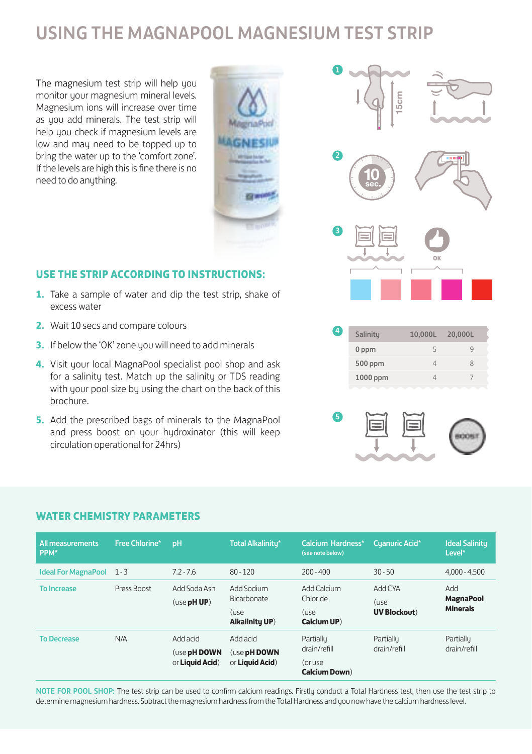## USING THE MAGNAPOOL MAGNESIUM TEST STRIP

The magnesium test strip will help you monitor your magnesium mineral levels. Magnesium ions will increase over time as you add minerals. The test strip will help you check if magnesium levels are low and may need to be topped up to bring the water up to the 'comfort zone'. If the levels are high this is fine there is no need to do anything.



### **USE THE STRIP ACCORDING TO INSTRUCTIONS:**

- **1.** Take a sample of water and dip the test strip, shake of excess water
- **2.** Wait 10 secs and compare colours
- **3.** If below the 'OK' zone you will need to add minerals
- **4.** Visit your local MagnaPool specialist pool shop and ask for a salinity test. Match up the salinity or TDS reading with your pool size by using the chart on the back of this brochure.
- **5.** Add the prescribed bags of minerals to the MagnaPool and press boost on your hydroxinator (this will keep circulation operational for 24hrs)





### **WATER CHEMISTRY PARAMETERS**

| All measurements<br>PPM*       | Free Chlorine* | <b>pH</b>                                   | Total Alkalinity*                                   | Calcium Hardness*<br>(see note below)                         | Cyanuric Acid*                          | <b>Ideal Salinity</b><br>Level*            |
|--------------------------------|----------------|---------------------------------------------|-----------------------------------------------------|---------------------------------------------------------------|-----------------------------------------|--------------------------------------------|
| <b>Ideal For MagnaPool</b> 1-3 |                | $7.2 - 7.6$                                 | $80 - 120$                                          | $200 - 400$                                                   | $30 - 50$                               | $4,000 - 4,500$                            |
| <b>To Increase</b>             | Press Boost    | Add Soda Ash<br>$($ use pH UP $)$           | Add Sodium<br>Bicarbonate<br>(use<br>Alkalinity UP) | Add Calcium<br>Chloride<br>(use<br>Calcium UP)                | Add CYA<br>(use<br><b>UV Blockout</b> ) | hhA<br><b>MagnaPool</b><br><b>Minerals</b> |
| <b>To Decrease</b>             | N/A            | Add acid<br>(use pH DOWN<br>or Liquid Acid) | Add acid<br>(use pH DOWN<br>or <b>Liquid Acid</b> ) | Partially<br>drain/refill<br>(or use<br><b>Calcium Down</b> ) | Partially<br>drain/refill               | Partially<br>drain/refill                  |

NOTE FOR POOL SHOP: The test strip can be used to confirm calcium readings. Firstly conduct a Total Hardness test, then use the test strip to determine magnesium hardness. Subtract the magnesium hardness from the Total Hardness and you now have the calcium hardness level.